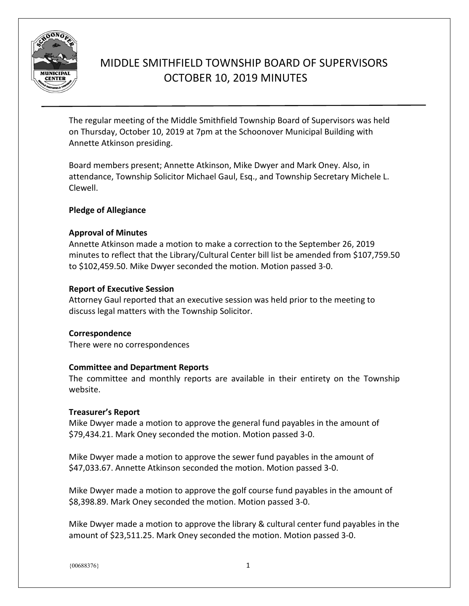

# MIDDLE SMITHFIELD TOWNSHIP BOARD OF SUPERVISORS OCTOBER 10, 2019 MINUTES

The regular meeting of the Middle Smithfield Township Board of Supervisors was held on Thursday, October 10, 2019 at 7pm at the Schoonover Municipal Building with Annette Atkinson presiding.

Board members present; Annette Atkinson, Mike Dwyer and Mark Oney. Also, in attendance, Township Solicitor Michael Gaul, Esq., and Township Secretary Michele L. Clewell.

# **Pledge of Allegiance**

# **Approval of Minutes**

Annette Atkinson made a motion to make a correction to the September 26, 2019 minutes to reflect that the Library/Cultural Center bill list be amended from \$107,759.50 to \$102,459.50. Mike Dwyer seconded the motion. Motion passed 3-0.

# **Report of Executive Session**

Attorney Gaul reported that an executive session was held prior to the meeting to discuss legal matters with the Township Solicitor.

# **Correspondence**

There were no correspondences

## **Committee and Department Reports**

The committee and monthly reports are available in their entirety on the Township website.

## **Treasurer's Report**

Mike Dwyer made a motion to approve the general fund payables in the amount of \$79,434.21. Mark Oney seconded the motion. Motion passed 3-0.

Mike Dwyer made a motion to approve the sewer fund payables in the amount of \$47,033.67. Annette Atkinson seconded the motion. Motion passed 3-0.

Mike Dwyer made a motion to approve the golf course fund payables in the amount of \$8,398.89. Mark Oney seconded the motion. Motion passed 3-0.

Mike Dwyer made a motion to approve the library & cultural center fund payables in the amount of \$23,511.25. Mark Oney seconded the motion. Motion passed 3-0.

 $\{00688376\}$  1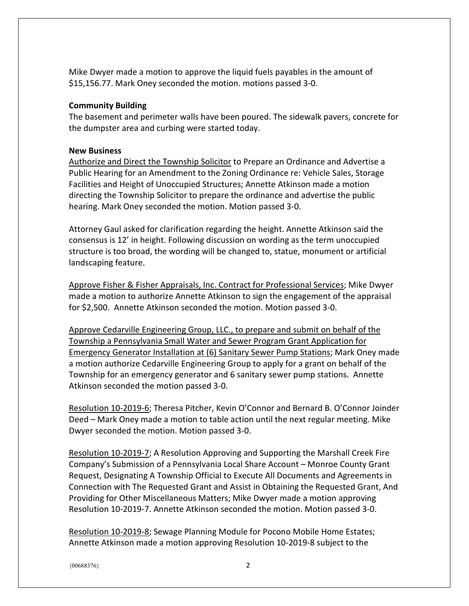Mike Dwyer made a motion to approve the liquid fuels payables in the amount of \$15,156.77. Mark Oney seconded the motion. motions passed 3-0.

#### **Community Building**

The basement and perimeter walls have been poured. The sidewalk pavers, concrete for the dumpster area and curbing were started today.

#### **New Business**

Authorize and Direct the Township Solicitor to Prepare an Ordinance and Advertise a Public Hearing for an Amendment to the Zoning Ordinance re: Vehicle Sales, Storage Facilities and Height of Unoccupied Structures; Annette Atkinson made a motion directing the Township Solicitor to prepare the ordinance and advertise the public hearing. Mark Oney seconded the motion. Motion passed 3-0.

Attorney Gaul asked for clarification regarding the height. Annette Atkinson said the consensus is 12' in height. Following discussion on wording as the term unoccupied structure is too broad, the wording will be changed to, statue, monument or artificial landscaping feature.

Approve Fisher & Fisher Appraisals, Inc. Contract for Professional Services; Mike Dwyer made a motion to authorize Annette Atkinson to sign the engagement of the appraisal for \$2,500. Annette Atkinson seconded the motion. Motion passed 3-0.

Approve Cedarville Engineering Group, LLC., to prepare and submit on behalf of the Township a Pennsylvania Small Water and Sewer Program Grant Application for Emergency Generator Installation at (6) Sanitary Sewer Pump Stations; Mark Oney made a motion authorize Cedarville Engineering Group to apply for a grant on behalf of the Township for an emergency generator and 6 sanitary sewer pump stations. Annette Atkinson seconded the motion passed 3-0.

Resolution 10-2019-6; Theresa Pitcher, Kevin O'Connor and Bernard B. O'Connor Joinder Deed – Mark Oney made a motion to table action until the next regular meeting. Mike Dwyer seconded the motion. Motion passed 3-0.

Resolution 10-2019-7; A Resolution Approving and Supporting the Marshall Creek Fire Company's Submission of a Pennsylvania Local Share Account – Monroe County Grant Request, Designating A Township Official to Execute All Documents and Agreements in Connection with The Requested Grant and Assist in Obtaining the Requested Grant, And Providing for Other Miscellaneous Matters; Mike Dwyer made a motion approving Resolution 10-2019-7. Annette Atkinson seconded the motion. Motion passed 3-0.

Resolution 10-2019-8; Sewage Planning Module for Pocono Mobile Home Estates; Annette Atkinson made a motion approving Resolution 10-2019-8 subject to the

 ${0.0688376}$  2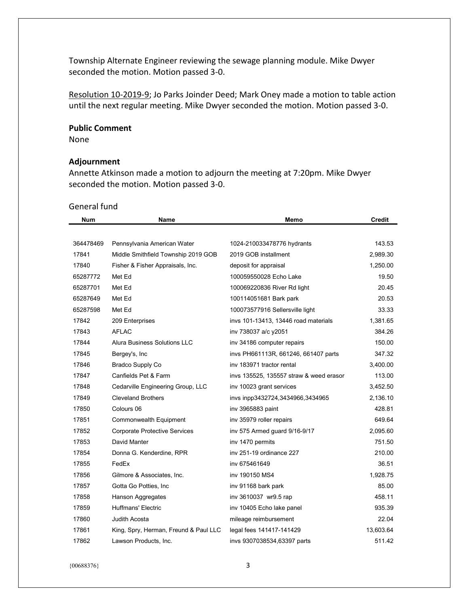Township Alternate Engineer reviewing the sewage planning module. Mike Dwyer seconded the motion. Motion passed 3-0.

Resolution 10-2019-9; Jo Parks Joinder Deed; Mark Oney made a motion to table action until the next regular meeting. Mike Dwyer seconded the motion. Motion passed 3-0.

#### **Public Comment**

None

#### **Adjournment**

Annette Atkinson made a motion to adjourn the meeting at 7:20pm. Mike Dwyer seconded the motion. Motion passed 3-0.

#### General fund

| <b>Num</b> | Name                                  | Memo                                    | <b>Credit</b> |
|------------|---------------------------------------|-----------------------------------------|---------------|
|            |                                       |                                         |               |
| 364478469  | Pennsylvania American Water           | 1024-210033478776 hydrants              | 143.53        |
| 17841      | Middle Smithfield Township 2019 GOB   | 2019 GOB installment                    | 2,989.30      |
| 17840      | Fisher & Fisher Appraisals, Inc.      | deposit for appraisal                   | 1,250.00      |
| 65287772   | Met Ed                                | 100059550028 Echo Lake                  | 19.50         |
| 65287701   | Met Ed                                | 100069220836 River Rd light             | 20.45         |
| 65287649   | Met Ed                                | 100114051681 Bark park                  | 20.53         |
| 65287598   | Met Ed                                | 100073577916 Sellersville light         | 33.33         |
| 17842      | 209 Enterprises                       | invs 101-13413, 13446 road materials    | 1,381.65      |
| 17843      | <b>AFLAC</b>                          | inv 738037 a/c y2051                    | 384.26        |
| 17844      | Alura Business Solutions LLC          | inv 34186 computer repairs              | 150.00        |
| 17845      | Bergey's, Inc                         | invs PH661113R, 661246, 661407 parts    | 347.32        |
| 17846      | Bradco Supply Co                      | iny 183971 tractor rental               | 3,400.00      |
| 17847      | Canfields Pet & Farm                  | invs 135525, 135557 straw & weed erasor | 113.00        |
| 17848      | Cedarville Engineering Group, LLC     | inv 10023 grant services                | 3,452.50      |
| 17849      | <b>Cleveland Brothers</b>             | invs inpp3432724,3434966,3434965        | 2,136.10      |
| 17850      | Colours 06                            | inv 3965883 paint                       | 428.81        |
| 17851      | Commonwealth Equipment                | inv 35979 roller repairs                | 649.64        |
| 17852      | <b>Corporate Protective Services</b>  | inv 575 Armed guard 9/16-9/17           | 2,095.60      |
| 17853      | David Manter                          | inv 1470 permits                        | 751.50        |
| 17854      | Donna G. Kenderdine, RPR              | iny 251-19 ordinance 227                | 210.00        |
| 17855      | FedEx                                 | inv 675461649                           | 36.51         |
| 17856      | Gilmore & Associates, Inc.            | inv 190150 MS4                          | 1,928.75      |
| 17857      | Gotta Go Potties, Inc                 | inv 91168 bark park                     | 85.00         |
| 17858      | Hanson Aggregates                     | inv 3610037 wr9.5 rap                   | 458.11        |
| 17859      | <b>Huffmans' Electric</b>             | inv 10405 Echo lake panel               | 935.39        |
| 17860      | Judith Acosta                         | mileage reimbursement                   | 22.04         |
| 17861      | King, Spry, Herman, Freund & Paul LLC | legal fees 141417-141429                | 13,603.64     |
| 17862      | Lawson Products, Inc.                 | invs 9307038534,63397 parts             | 511.42        |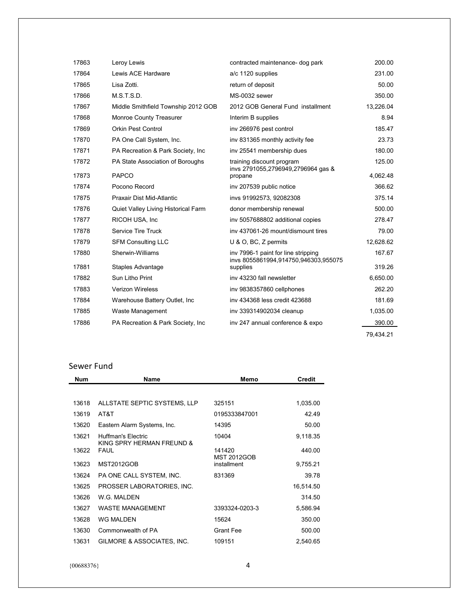| 17863 | Leroy Lewis                         | contracted maintenance- dog park                                            | 200.00    |
|-------|-------------------------------------|-----------------------------------------------------------------------------|-----------|
| 17864 | Lewis ACE Hardware                  | a/c 1120 supplies                                                           | 231.00    |
| 17865 | Lisa Zotti.                         | return of deposit                                                           | 50.00     |
| 17866 | M.S.T.S.D.                          | MS-0032 sewer                                                               | 350.00    |
| 17867 | Middle Smithfield Township 2012 GOB | 2012 GOB General Fund installment                                           | 13,226.04 |
| 17868 | Monroe County Treasurer             | Interim B supplies                                                          | 8.94      |
| 17869 | <b>Orkin Pest Control</b>           | inv 266976 pest control                                                     | 185.47    |
| 17870 | PA One Call System, Inc.            | inv 831365 monthly activity fee                                             | 23.73     |
| 17871 | PA Recreation & Park Society, Inc.  | inv 25541 membership dues                                                   | 180.00    |
| 17872 | PA State Association of Boroughs    | training discount program<br>invs 2791055,2796949,2796964 gas &             | 125.00    |
| 17873 | <b>PAPCO</b>                        | propane                                                                     | 4,062.48  |
| 17874 | Pocono Record                       | inv 207539 public notice                                                    | 366.62    |
| 17875 | Praxair Dist Mid-Atlantic           | invs 91992573, 92082308                                                     | 375.14    |
| 17876 | Quiet Valley Living Historical Farm | donor membership renewal                                                    | 500.00    |
| 17877 | RICOH USA, Inc.                     | inv 5057688802 additional copies                                            | 278.47    |
| 17878 | <b>Service Tire Truck</b>           | iny 437061-26 mount/dismount tires                                          | 79.00     |
| 17879 | <b>SFM Consulting LLC</b>           | U & O, BC, Z permits                                                        | 12,628.62 |
| 17880 | Sherwin-Williams                    | inv 7996-1 paint for line stripping<br>invs 8055861994,914750,946303,955075 | 167.67    |
| 17881 | Staples Advantage                   | supplies                                                                    | 319.26    |
| 17882 | Sun Litho Print                     | iny 43230 fall newsletter                                                   | 6,650.00  |
| 17883 | <b>Verizon Wireless</b>             | inv 9838357860 cellphones                                                   | 262.20    |
| 17884 | Warehouse Battery Outlet, Inc       | inv 434368 less credit 423688                                               | 181.69    |
| 17885 | Waste Management                    | inv 339314902034 cleanup                                                    | 1,035.00  |
| 17886 | PA Recreation & Park Society, Inc.  | inv 247 annual conference & expo                                            | 390.00    |
|       |                                     |                                                                             | 79,434.21 |

# Sewer Fund

| <b>Num</b> | Name                                            | Memo                         | <b>Credit</b> |
|------------|-------------------------------------------------|------------------------------|---------------|
|            |                                                 |                              |               |
| 13618      | ALLSTATE SEPTIC SYSTEMS, LLP                    | 325151                       | 1,035.00      |
| 13619      | AT&T                                            | 0195333847001                | 42.49         |
| 13620      | Eastern Alarm Systems, Inc.                     | 14395                        | 50.00         |
| 13621      | Huffman's Flectric<br>KING SPRY HERMAN FREUND & | 10404                        | 9,118.35      |
| 13622      | <b>FAUL</b>                                     | 141420<br><b>MST 2012GOB</b> | 440.00        |
| 13623      | <b>MST2012GOB</b>                               | installment                  | 9,755.21      |
| 13624      | PA ONE CALL SYSTEM, INC.                        | 831369                       | 39.78         |
| 13625      | PROSSER LABORATORIES, INC.                      |                              | 16,514.50     |
| 13626      | W.G. MALDEN                                     |                              | 314.50        |
| 13627      | <b>WASTE MANAGEMENT</b>                         | 3393324-0203-3               | 5,586.94      |
| 13628      | <b>WG MALDEN</b>                                | 15624                        | 350.00        |
| 13630      | Commonwealth of PA                              | Grant Fee                    | 500.00        |
| 13631      | GILMORE & ASSOCIATES, INC.                      | 109151                       | 2,540.65      |

 ${00688376}$  4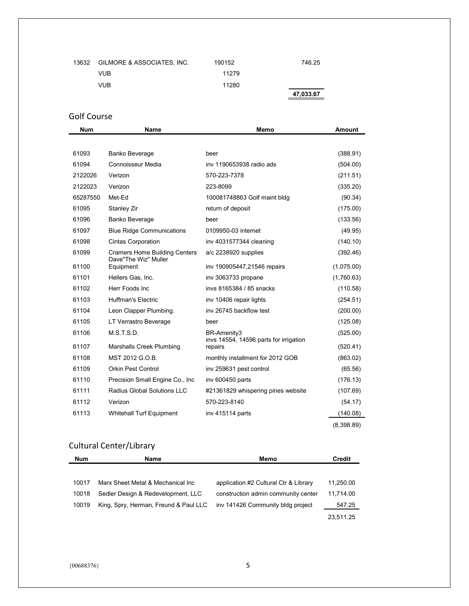| 13632 | GILMORE & ASSOCIATES, INC. | 190152 | 746.25    |
|-------|----------------------------|--------|-----------|
|       | VUB                        | 11279  |           |
|       | VUB.                       | 11280  |           |
|       |                            |        | 47,033.67 |

# Golf Course

| <b>Num</b> | <b>Name</b>                          | Memo                                              | <b>Amount</b> |
|------------|--------------------------------------|---------------------------------------------------|---------------|
|            |                                      |                                                   |               |
| 61093      | Banko Beverage                       | beer                                              | (388.91)      |
| 61094      | Connoisseur Media                    | iny 1190653938 radio ads                          | (504.00)      |
| 2122026    | Verizon                              | 570-223-7378                                      | (211.51)      |
| 2122023    | Verizon                              | 223-8099                                          | (335.20)      |
| 65287550   | Met-Ed                               | 100081748863 Golf maint bldg                      | (90.34)       |
| 61095      | Stanley Zir                          | return of deposit                                 | (175.00)      |
| 61096      | Banko Beverage                       | beer                                              | (133.56)      |
| 61097      | <b>Blue Ridge Communications</b>     | 0109950-03 internet                               | (49.95)       |
| 61098      | <b>Cintas Corporation</b>            | inv 4031577344 cleaning                           | (140.10)      |
| 61099      | <b>Cramers Home Building Centers</b> | a/c 2238920 supplies                              | (392.46)      |
| 61100      | Dave"The Wiz" Muller<br>Equipment    | inv 190905447,21546 repairs                       | (1,075.00)    |
| 61101      | Hellers Gas, Inc.                    | inv 3063733 propane                               | (1,760.63)    |
| 61102      | Herr Foods Inc                       | inys 8165384 / 85 snacks                          | (110.58)      |
| 61103      | <b>Huffman's Electric</b>            | inv 10406 repair lights                           | (254.51)      |
| 61104      | Leon Clapper Plumbing.               | iny 26745 backflow test                           | (200.00)      |
| 61105      | LT Verrastro Beverage                | beer                                              | (125.08)      |
| 61106      | M.S.T.S.D.                           | BR-Amenity3                                       | (525.00)      |
| 61107      | Marshalls Creek Plumbing             | invs 14554, 14596 parts for irrigation<br>repairs | (520.41)      |
| 61108      | MST 2012 G.O.B.                      | monthly installment for 2012 GOB                  | (863.02)      |
| 61109      | <b>Orkin Pest Control</b>            | inv 259631 pest control                           | (65.56)       |
| 61110      | Precision Small Engine Co., Inc.     | inv 600450 parts                                  | (176.13)      |
| 61111      | <b>Radius Global Solutions LLC</b>   | #21361829 whispering pines website                | (107.69)      |
| 61112      | Verizon                              | 570-223-8140                                      | (54.17)       |
| 61113      | <b>Whitehall Turf Equipment</b>      | inv 415114 parts                                  | (140.08)      |
|            |                                      |                                                   | (8,398.89)    |

# Cultural Center/Library

| <b>Num</b> | Name                                  | Memo                                  | Credit    |
|------------|---------------------------------------|---------------------------------------|-----------|
|            |                                       |                                       |           |
| 10017      | Marx Sheet Metal & Mechanical Inc     | application #2 Cultural Ctr & Library | 11,250.00 |
| 10018      | Sedler Design & Redevelopment, LLC    | construction admin community center   | 11,714.00 |
| 10019      | King, Spry, Herman, Freund & Paul LLC | inv 141426 Community bldg project     | 547.25    |
|            |                                       |                                       | 23,511.25 |